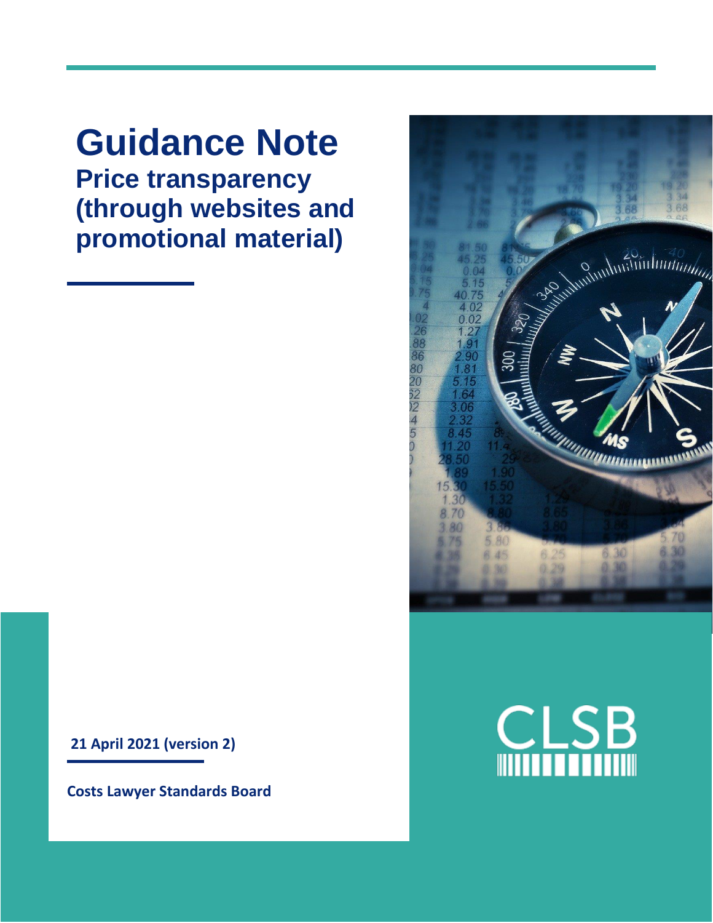**Guidance Note Price transparency (through websites and promotional material)**

**21 April 2021 (version 2)**

**Costs Lawyer Standards Board**



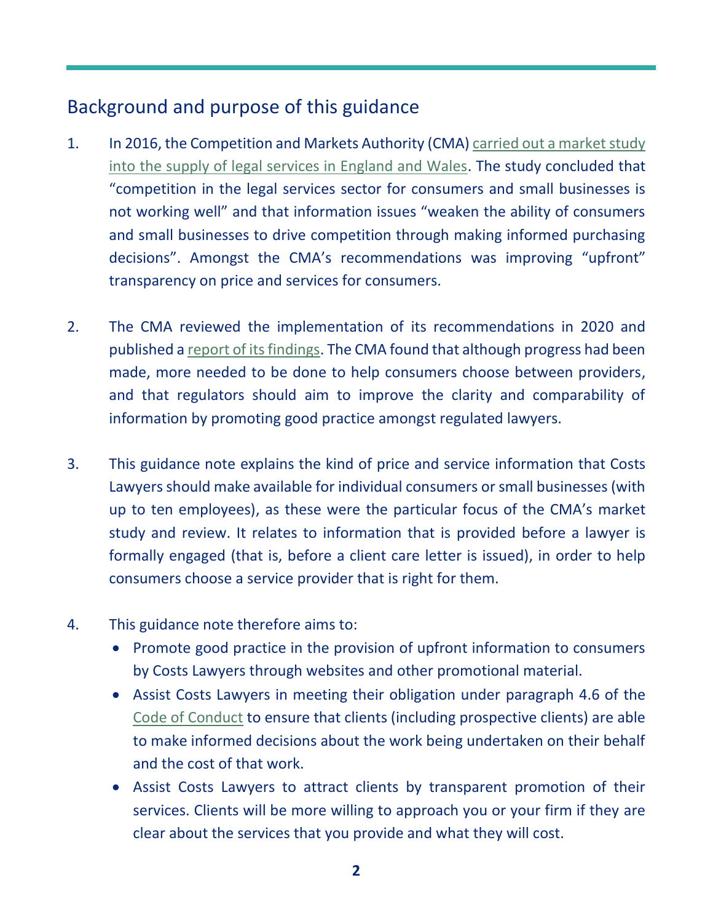# Background and purpose of this guidance

- 1. In 2016, the Competition and Markets Authority (CMA) [carried out a market study](https://www.gov.uk/cma-cases/legal-services-market-study)  [into the supply of legal services in England and Wales.](https://www.gov.uk/cma-cases/legal-services-market-study) The study concluded that "competition in the legal services sector for consumers and small businesses is not working well" and that information issues "weaken the ability of consumers and small businesses to drive competition through making informed purchasing decisions". Amongst the CMA's recommendations was improving "upfront" transparency on price and services for consumers.
- 2. The CMA reviewed the implementation of its recommendations in 2020 and published a [report of its findings.](https://www.gov.uk/cma-cases/review-of-the-legal-services-market-study-in-england-and-wales?=0#review-report) The CMA found that although progress had been made, more needed to be done to help consumers choose between providers, and that regulators should aim to improve the clarity and comparability of information by promoting good practice amongst regulated lawyers.
- 3. This guidance note explains the kind of price and service information that Costs Lawyers should make available for individual consumers or small businesses (with up to ten employees), as these were the particular focus of the CMA's market study and review. It relates to information that is provided before a lawyer is formally engaged (that is, before a client care letter is issued), in order to help consumers choose a service provider that is right for them.
- 4. This guidance note therefore aims to:
	- Promote good practice in the provision of upfront information to consumers by Costs Lawyers through websites and other promotional material.
	- Assist Costs Lawyers in meeting their obligation under paragraph 4.6 of the [Code of Conduct](https://clsb.info/for-costs-lawyers/costs-lawyer-handbook/) to ensure that clients (including prospective clients) are able to make informed decisions about the work being undertaken on their behalf and the cost of that work.
	- Assist Costs Lawyers to attract clients by transparent promotion of their services. Clients will be more willing to approach you or your firm if they are clear about the services that you provide and what they will cost.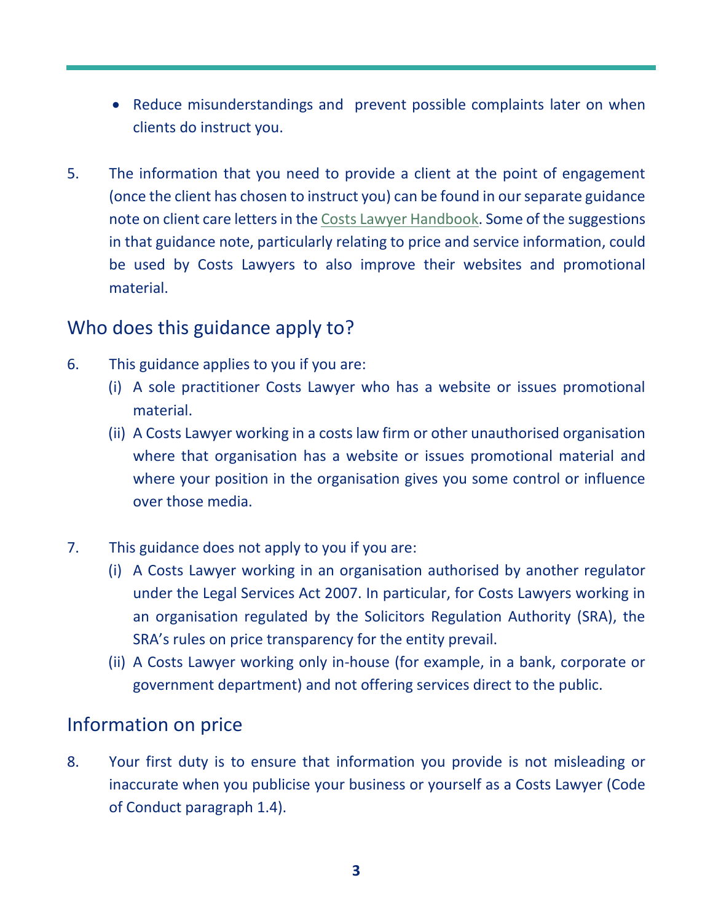- Reduce misunderstandings and prevent possible complaints later on when clients do instruct you.
- 5. The information that you need to provide a client at the point of engagement (once the client has chosen to instruct you) can be found in our separate guidance note on client care letters in the [Costs Lawyer Handbook.](https://clsb.info/for-costs-lawyers/costs-lawyer-handbook/) Some of the suggestions in that guidance note, particularly relating to price and service information, could be used by Costs Lawyers to also improve their websites and promotional material.

# Who does this guidance apply to?

- 6. This guidance applies to you if you are:
	- (i) A sole practitioner Costs Lawyer who has a website or issues promotional material.
	- (ii) A Costs Lawyer working in a costs law firm or other unauthorised organisation where that organisation has a website or issues promotional material and where your position in the organisation gives you some control or influence over those media.
- 7. This guidance does not apply to you if you are:
	- (i) A Costs Lawyer working in an organisation authorised by another regulator under the Legal Services Act 2007. In particular, for Costs Lawyers working in an organisation regulated by the Solicitors Regulation Authority (SRA), the SRA's rules on price transparency for the entity prevail.
	- (ii) A Costs Lawyer working only in-house (for example, in a bank, corporate or government department) and not offering services direct to the public.

#### Information on price

8. Your first duty is to ensure that information you provide is not misleading or inaccurate when you publicise your business or yourself as a Costs Lawyer (Code of Conduct paragraph 1.4).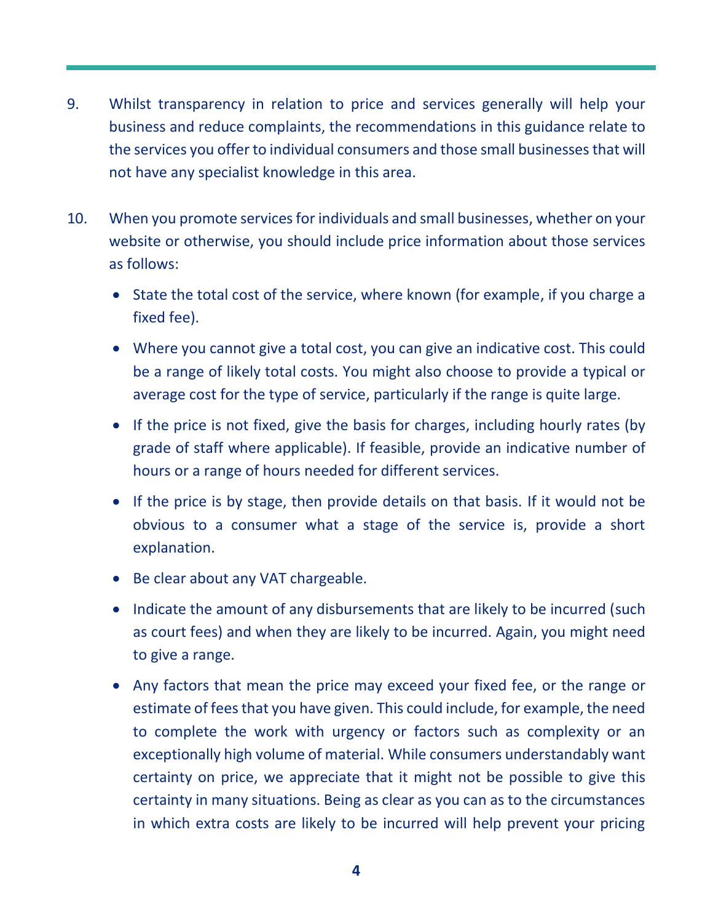- 9. Whilst transparency in relation to price and services generally will help your business and reduce complaints, the recommendations in this guidance relate to the services you offer to individual consumers and those small businessesthat will not have any specialist knowledge in this area.
- 10. When you promote services for individuals and small businesses, whether on your website or otherwise, you should include price information about those services as follows:
	- State the total cost of the service, where known (for example, if you charge a fixed fee).
	- Where you cannot give a total cost, you can give an indicative cost. This could be a range of likely total costs. You might also choose to provide a typical or average cost for the type of service, particularly if the range is quite large.
	- If the price is not fixed, give the basis for charges, including hourly rates (by grade of staff where applicable). If feasible, provide an indicative number of hours or a range of hours needed for different services.
	- If the price is by stage, then provide details on that basis. If it would not be obvious to a consumer what a stage of the service is, provide a short explanation.
	- Be clear about any VAT chargeable.
	- Indicate the amount of any disbursements that are likely to be incurred (such as court fees) and when they are likely to be incurred. Again, you might need to give a range.
	- Any factors that mean the price may exceed your fixed fee, or the range or estimate of fees that you have given. This could include, for example, the need to complete the work with urgency or factors such as complexity or an exceptionally high volume of material. While consumers understandably want certainty on price, we appreciate that it might not be possible to give this certainty in many situations. Being as clear as you can as to the circumstances in which extra costs are likely to be incurred will help prevent your pricing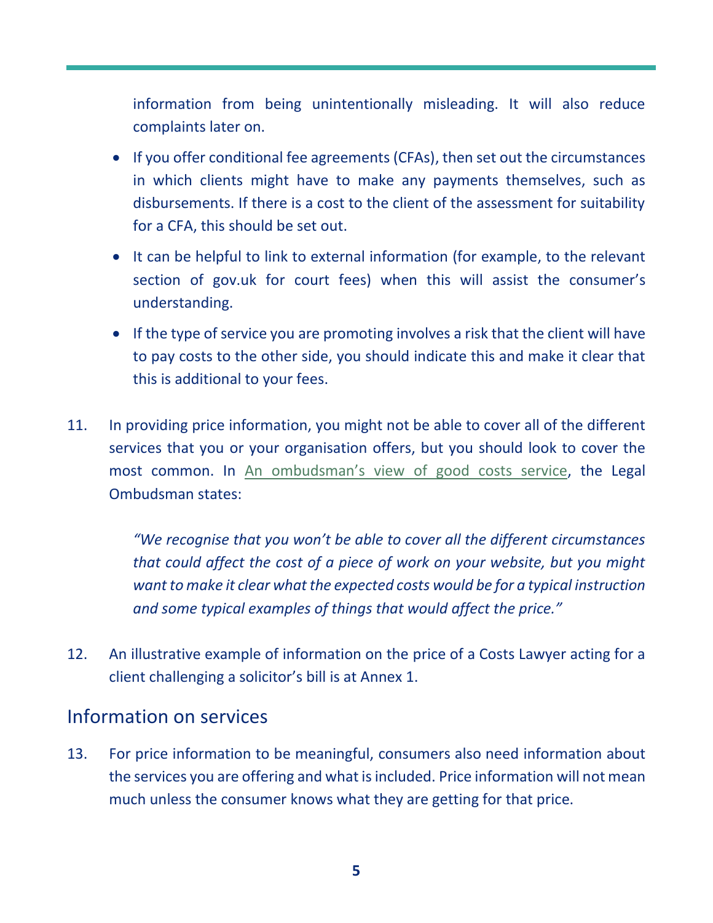information from being unintentionally misleading. It will also reduce complaints later on.

- If you offer conditional fee agreements (CFAs), then set out the circumstances in which clients might have to make any payments themselves, such as disbursements. If there is a cost to the client of the assessment for suitability for a CFA, this should be set out.
- It can be helpful to link to external information (for example, to the relevant section of gov.uk for court fees) when this will assist the consumer's understanding.
- If the type of service you are promoting involves a risk that the client will have to pay costs to the other side, you should indicate this and make it clear that this is additional to your fees.
- 11. In providing price information, you might not be able to cover all of the different services that you or your organisation offers, but you should look to cover the most common. In An ombudsman's view [of good costs service,](https://www.legalombudsman.org.uk/media/o0jbl3qa/190509-an-ombudsman-view-of-good-costs-service.pdf) the Legal Ombudsman states:

*"We recognise that you won't be able to cover all the different circumstances that could affect the cost of a piece of work on your website, but you might want to make it clear what the expected costs would be for a typical instruction and some typical examples of things that would affect the price."* 

12. An illustrative example of information on the price of a Costs Lawyer acting for a client challenging a solicitor's bill is at Annex 1.

## Information on services

13. For price information to be meaningful, consumers also need information about the services you are offering and what is included. Price information will not mean much unless the consumer knows what they are getting for that price.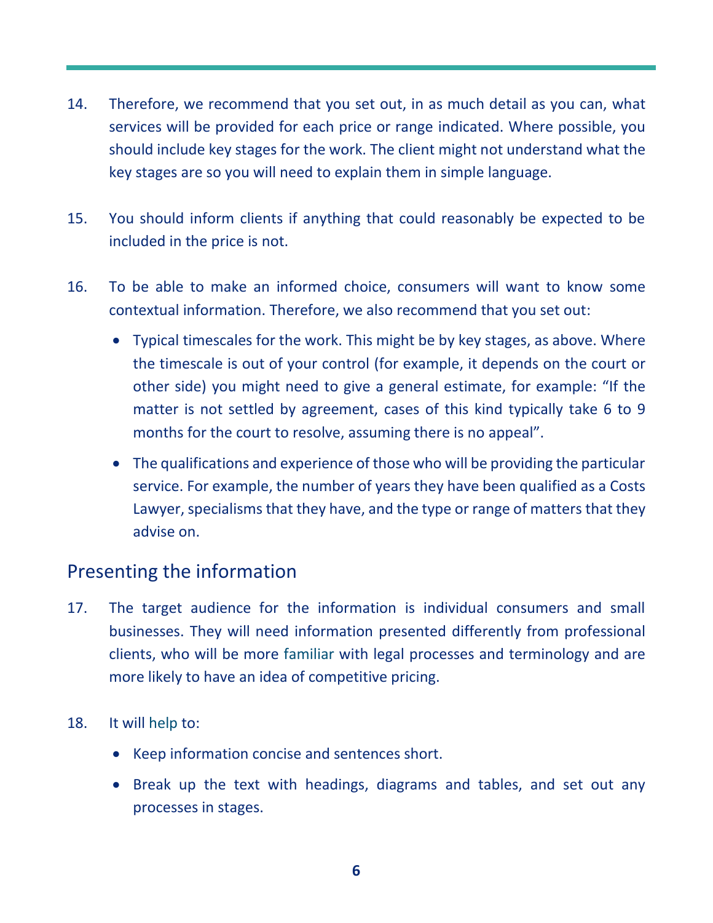- 14. Therefore, we recommend that you set out, in as much detail as you can, what services will be provided for each price or range indicated. Where possible, you should include key stages for the work. The client might not understand what the key stages are so you will need to explain them in simple language.
- 15. You should inform clients if anything that could reasonably be expected to be included in the price is not.
- 16. To be able to make an informed choice, consumers will want to know some contextual information. Therefore, we also recommend that you set out:
	- Typical timescales for the work. This might be by key stages, as above. Where the timescale is out of your control (for example, it depends on the court or other side) you might need to give a general estimate, for example: "If the matter is not settled by agreement, cases of this kind typically take 6 to 9 months for the court to resolve, assuming there is no appeal".
	- The qualifications and experience of those who will be providing the particular service. For example, the number of years they have been qualified as a Costs Lawyer, specialisms that they have, and the type or range of matters that they advise on.

## Presenting the information

- 17. The target audience for the information is individual consumers and small businesses. They will need information presented differently from professional clients, who will be more familiar with legal processes and terminology and are more likely to have an idea of competitive pricing.
- 18. It will help to:
	- Keep information concise and sentences short.
	- Break up the text with headings, diagrams and tables, and set out any processes in stages.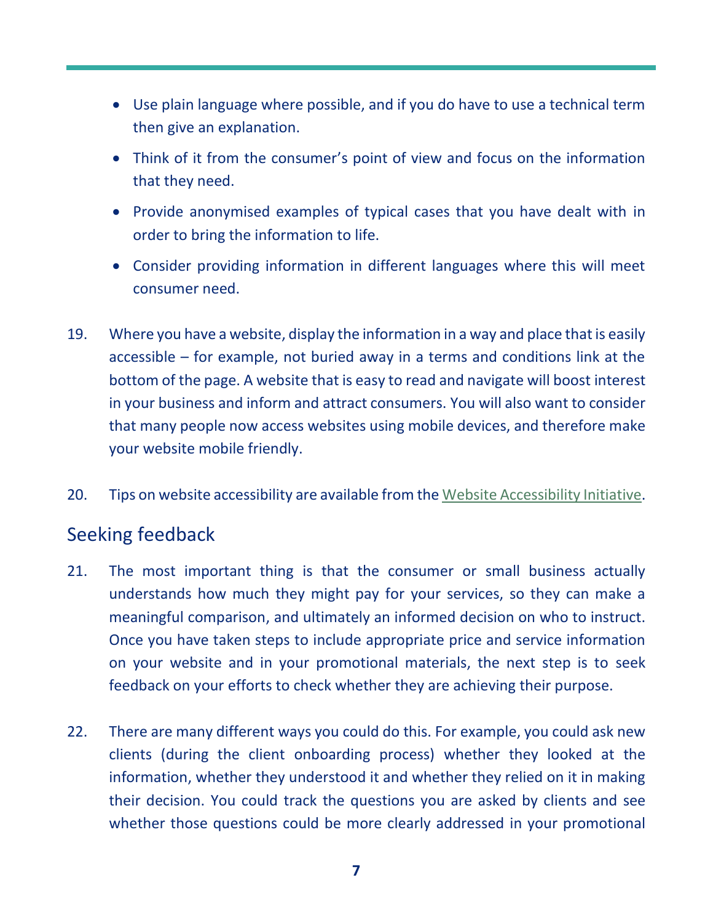- Use plain language where possible, and if you do have to use a technical term then give an explanation.
- Think of it from the consumer's point of view and focus on the information that they need.
- Provide anonymised examples of typical cases that you have dealt with in order to bring the information to life.
- Consider providing information in different languages where this will meet consumer need.
- 19. Where you have a website, display the information in a way and place that is easily accessible – for example, not buried away in a terms and conditions link at the bottom of the page. A website that is easy to read and navigate will boost interest in your business and inform and attract consumers. You will also want to consider that many people now access websites using mobile devices, and therefore make your website mobile friendly.
- 20. Tips on website accessibility are available from th[e Website Accessibility Initiative.](https://www.w3.org/WAI/fundamentals/accessibility-intro/)

## Seeking feedback

- 21. The most important thing is that the consumer or small business actually understands how much they might pay for your services, so they can make a meaningful comparison, and ultimately an informed decision on who to instruct. Once you have taken steps to include appropriate price and service information on your website and in your promotional materials, the next step is to seek feedback on your efforts to check whether they are achieving their purpose.
- 22. There are many different ways you could do this. For example, you could ask new clients (during the client onboarding process) whether they looked at the information, whether they understood it and whether they relied on it in making their decision. You could track the questions you are asked by clients and see whether those questions could be more clearly addressed in your promotional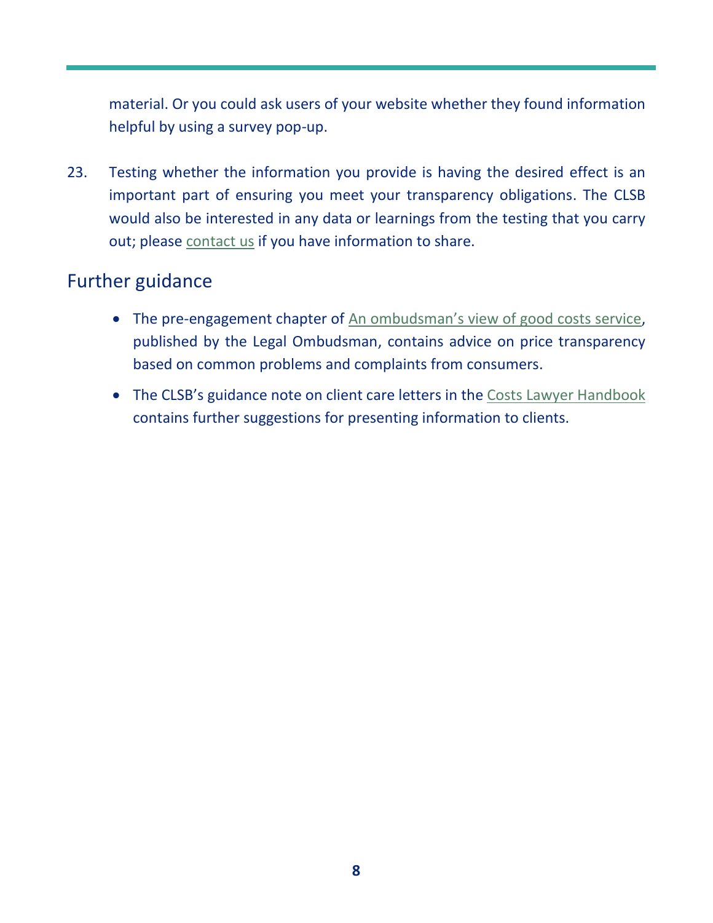material. Or you could ask users of your website whether they found information helpful by using a survey pop-up.

23. Testing whether the information you provide is having the desired effect is an important part of ensuring you meet your transparency obligations. The CLSB would also be interested in any data or learnings from the testing that you carry out; please [contact us](https://clsb.info/contact-us/) if you have information to share.

#### Further guidance

- The pre-engagement chapter of [An ombudsman's view of good costs service](https://www.legalombudsman.org.uk/media/o0jbl3qa/190509-an-ombudsman-view-of-good-costs-service.pdf), published by the Legal Ombudsman, contains advice on price transparency based on common problems and complaints from consumers.
- The CLSB's guidance note on client care letters in the [Costs Lawyer Handbook](https://clsb.info/for-costs-lawyers/costs-lawyer-handbook/) contains further suggestions for presenting information to clients.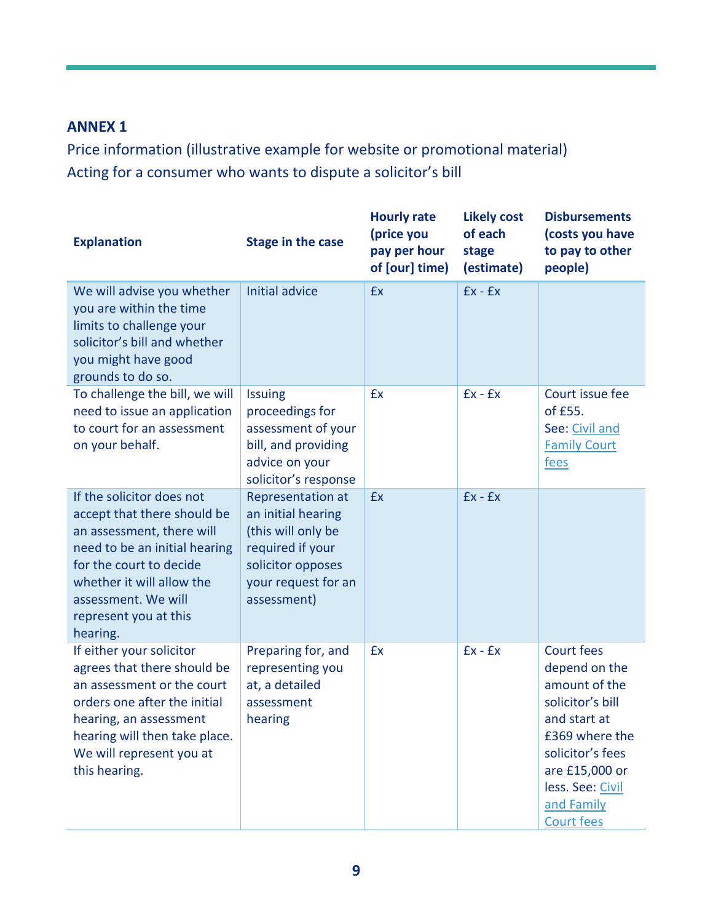#### **ANNEX 1**

Price information (illustrative example for website or promotional material) Acting for a consumer who wants to dispute a solicitor's bill

| <b>Explanation</b>                                                                                                                                                                                                                         | <b>Stage in the case</b>                                                                                                                            | <b>Hourly rate</b><br>(price you<br>pay per hour<br>of [our] time) | <b>Likely cost</b><br>of each<br>stage<br>(estimate) | <b>Disbursements</b><br>(costs you have<br>to pay to other<br>people)                                                                                                                           |
|--------------------------------------------------------------------------------------------------------------------------------------------------------------------------------------------------------------------------------------------|-----------------------------------------------------------------------------------------------------------------------------------------------------|--------------------------------------------------------------------|------------------------------------------------------|-------------------------------------------------------------------------------------------------------------------------------------------------------------------------------------------------|
| We will advise you whether<br>you are within the time<br>limits to challenge your<br>solicitor's bill and whether<br>you might have good<br>grounds to do so.                                                                              | <b>Initial advice</b>                                                                                                                               | £x                                                                 | $Ex - Ex$                                            |                                                                                                                                                                                                 |
| To challenge the bill, we will<br>need to issue an application<br>to court for an assessment<br>on your behalf.                                                                                                                            | <b>Issuing</b><br>proceedings for<br>assessment of your<br>bill, and providing<br>advice on your<br>solicitor's response                            | £x                                                                 | $Ex - Ex$                                            | Court issue fee<br>of £55.<br>See: Civil and<br><b>Family Court</b><br>fees                                                                                                                     |
| If the solicitor does not<br>accept that there should be<br>an assessment, there will<br>need to be an initial hearing<br>for the court to decide<br>whether it will allow the<br>assessment. We will<br>represent you at this<br>hearing. | <b>Representation at</b><br>an initial hearing<br>(this will only be<br>required if your<br>solicitor opposes<br>your request for an<br>assessment) | £x                                                                 | $Ex - Ex$                                            |                                                                                                                                                                                                 |
| If either your solicitor<br>agrees that there should be<br>an assessment or the court<br>orders one after the initial<br>hearing, an assessment<br>hearing will then take place.<br>We will represent you at<br>this hearing.              | Preparing for, and<br>representing you<br>at, a detailed<br>assessment<br>hearing                                                                   | £x                                                                 | $Ex - Ex$                                            | Court fees<br>depend on the<br>amount of the<br>solicitor's bill<br>and start at<br>£369 where the<br>solicitor's fees<br>are £15,000 or<br>less. See: Civil<br>and Family<br><b>Court fees</b> |